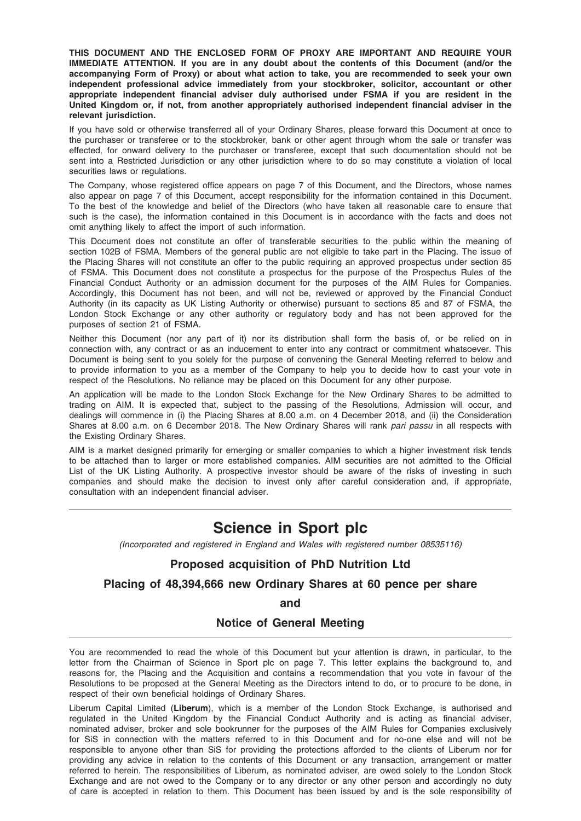THIS DOCUMENT AND THE ENCLOSED FORM OF PROXY ARE IMPORTANT AND REQUIRE YOUR IMMEDIATE ATTENTION. If you are in any doubt about the contents of this Document (and/or the accompanying Form of Proxy) or about what action to take, you are recommended to seek your own independent professional advice immediately from your stockbroker, solicitor, accountant or other appropriate independent financial adviser duly authorised under FSMA if you are resident in the United Kingdom or, if not, from another appropriately authorised independent financial adviser in the relevant jurisdiction.

If you have sold or otherwise transferred all of your Ordinary Shares, please forward this Document at once to the purchaser or transferee or to the stockbroker, bank or other agent through whom the sale or transfer was effected, for onward delivery to the purchaser or transferee, except that such documentation should not be sent into a Restricted Jurisdiction or any other jurisdiction where to do so may constitute a violation of local securities laws or regulations.

The Company, whose registered office appears on page 7 of this Document, and the Directors, whose names also appear on page 7 of this Document, accept responsibility for the information contained in this Document. To the best of the knowledge and belief of the Directors (who have taken all reasonable care to ensure that such is the case), the information contained in this Document is in accordance with the facts and does not omit anything likely to affect the import of such information.

This Document does not constitute an offer of transferable securities to the public within the meaning of section 102B of FSMA. Members of the general public are not eligible to take part in the Placing. The issue of the Placing Shares will not constitute an offer to the public requiring an approved prospectus under section 85 of FSMA. This Document does not constitute a prospectus for the purpose of the Prospectus Rules of the Financial Conduct Authority or an admission document for the purposes of the AIM Rules for Companies. Accordingly, this Document has not been, and will not be, reviewed or approved by the Financial Conduct Authority (in its capacity as UK Listing Authority or otherwise) pursuant to sections 85 and 87 of FSMA, the London Stock Exchange or any other authority or regulatory body and has not been approved for the purposes of section 21 of FSMA.

Neither this Document (nor any part of it) nor its distribution shall form the basis of, or be relied on in connection with, any contract or as an inducement to enter into any contract or commitment whatsoever. This Document is being sent to you solely for the purpose of convening the General Meeting referred to below and to provide information to you as a member of the Company to help you to decide how to cast your vote in respect of the Resolutions. No reliance may be placed on this Document for any other purpose.

An application will be made to the London Stock Exchange for the New Ordinary Shares to be admitted to trading on AIM. It is expected that, subject to the passing of the Resolutions, Admission will occur, and dealings will commence in (i) the Placing Shares at 8.00 a.m. on 4 December 2018, and (ii) the Consideration Shares at 8.00 a.m. on 6 December 2018. The New Ordinary Shares will rank pari passu in all respects with the Existing Ordinary Shares.

AIM is a market designed primarily for emerging or smaller companies to which a higher investment risk tends to be attached than to larger or more established companies. AIM securities are not admitted to the Official List of the UK Listing Authority. A prospective investor should be aware of the risks of investing in such companies and should make the decision to invest only after careful consideration and, if appropriate, consultation with an independent financial adviser.

# Science in Sport plc

(Incorporated and registered in England and Wales with registered number 08535116)

### Proposed acquisition of PhD Nutrition Ltd

#### Placing of 48,394,666 new Ordinary Shares at 60 pence per share

and

### Notice of General Meeting

You are recommended to read the whole of this Document but your attention is drawn, in particular, to the letter from the Chairman of Science in Sport plc on page 7. This letter explains the background to, and reasons for, the Placing and the Acquisition and contains a recommendation that you vote in favour of the Resolutions to be proposed at the General Meeting as the Directors intend to do, or to procure to be done, in respect of their own beneficial holdings of Ordinary Shares.

Liberum Capital Limited (Liberum), which is a member of the London Stock Exchange, is authorised and regulated in the United Kingdom by the Financial Conduct Authority and is acting as financial adviser, nominated adviser, broker and sole bookrunner for the purposes of the AIM Rules for Companies exclusively for SiS in connection with the matters referred to in this Document and for no-one else and will not be responsible to anyone other than SiS for providing the protections afforded to the clients of Liberum nor for providing any advice in relation to the contents of this Document or any transaction, arrangement or matter referred to herein. The responsibilities of Liberum, as nominated adviser, are owed solely to the London Stock Exchange and are not owed to the Company or to any director or any other person and accordingly no duty of care is accepted in relation to them. This Document has been issued by and is the sole responsibility of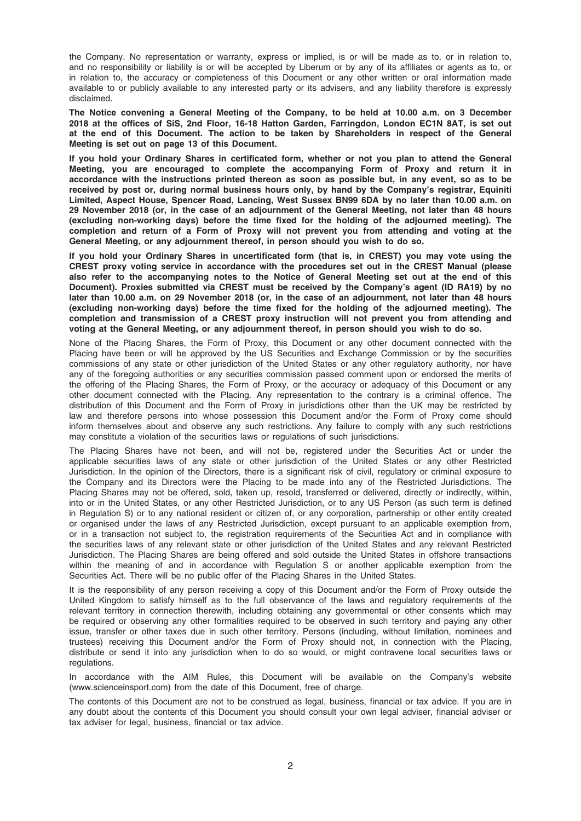the Company. No representation or warranty, express or implied, is or will be made as to, or in relation to, and no responsibility or liability is or will be accepted by Liberum or by any of its affiliates or agents as to, or in relation to, the accuracy or completeness of this Document or any other written or oral information made available to or publicly available to any interested party or its advisers, and any liability therefore is expressly disclaimed.

The Notice convening a General Meeting of the Company, to be held at 10.00 a.m. on 3 December 2018 at the offices of SiS, 2nd Floor, 16-18 Hatton Garden, Farringdon, London EC1N 8AT, is set out at the end of this Document. The action to be taken by Shareholders in respect of the General Meeting is set out on page 13 of this Document.

If you hold your Ordinary Shares in certificated form, whether or not you plan to attend the General Meeting, you are encouraged to complete the accompanying Form of Proxy and return it in accordance with the instructions printed thereon as soon as possible but, in any event, so as to be received by post or, during normal business hours only, by hand by the Company's registrar, Equiniti Limited, Aspect House, Spencer Road, Lancing, West Sussex BN99 6DA by no later than 10.00 a.m. on 29 November 2018 (or, in the case of an adjournment of the General Meeting, not later than 48 hours (excluding non-working days) before the time fixed for the holding of the adjourned meeting). The completion and return of a Form of Proxy will not prevent you from attending and voting at the General Meeting, or any adjournment thereof, in person should you wish to do so.

If you hold your Ordinary Shares in uncertificated form (that is, in CREST) you may vote using the CREST proxy voting service in accordance with the procedures set out in the CREST Manual (please also refer to the accompanying notes to the Notice of General Meeting set out at the end of this Document). Proxies submitted via CREST must be received by the Company's agent (ID RA19) by no later than 10.00 a.m. on 29 November 2018 (or, in the case of an adjournment, not later than 48 hours (excluding non-working days) before the time fixed for the holding of the adjourned meeting). The completion and transmission of a CREST proxy instruction will not prevent you from attending and voting at the General Meeting, or any adjournment thereof, in person should you wish to do so.

None of the Placing Shares, the Form of Proxy, this Document or any other document connected with the Placing have been or will be approved by the US Securities and Exchange Commission or by the securities commissions of any state or other jurisdiction of the United States or any other regulatory authority, nor have any of the foregoing authorities or any securities commission passed comment upon or endorsed the merits of the offering of the Placing Shares, the Form of Proxy, or the accuracy or adequacy of this Document or any other document connected with the Placing. Any representation to the contrary is a criminal offence. The distribution of this Document and the Form of Proxy in jurisdictions other than the UK may be restricted by law and therefore persons into whose possession this Document and/or the Form of Proxy come should inform themselves about and observe any such restrictions. Any failure to comply with any such restrictions may constitute a violation of the securities laws or regulations of such jurisdictions.

The Placing Shares have not been, and will not be, registered under the Securities Act or under the applicable securities laws of any state or other jurisdiction of the United States or any other Restricted Jurisdiction. In the opinion of the Directors, there is a significant risk of civil, regulatory or criminal exposure to the Company and its Directors were the Placing to be made into any of the Restricted Jurisdictions. The Placing Shares may not be offered, sold, taken up, resold, transferred or delivered, directly or indirectly, within, into or in the United States, or any other Restricted Jurisdiction, or to any US Person (as such term is defined in Regulation S) or to any national resident or citizen of, or any corporation, partnership or other entity created or organised under the laws of any Restricted Jurisdiction, except pursuant to an applicable exemption from, or in a transaction not subject to, the registration requirements of the Securities Act and in compliance with the securities laws of any relevant state or other jurisdiction of the United States and any relevant Restricted Jurisdiction. The Placing Shares are being offered and sold outside the United States in offshore transactions within the meaning of and in accordance with Regulation S or another applicable exemption from the Securities Act. There will be no public offer of the Placing Shares in the United States.

It is the responsibility of any person receiving a copy of this Document and/or the Form of Proxy outside the United Kingdom to satisfy himself as to the full observance of the laws and regulatory requirements of the relevant territory in connection therewith, including obtaining any governmental or other consents which may be required or observing any other formalities required to be observed in such territory and paying any other issue, transfer or other taxes due in such other territory. Persons (including, without limitation, nominees and trustees) receiving this Document and/or the Form of Proxy should not, in connection with the Placing, distribute or send it into any jurisdiction when to do so would, or might contravene local securities laws or regulations.

In accordance with the AIM Rules, this Document will be available on the Company's website (www.scienceinsport.com) from the date of this Document, free of charge.

The contents of this Document are not to be construed as legal, business, financial or tax advice. If you are in any doubt about the contents of this Document you should consult your own legal adviser, financial adviser or tax adviser for legal, business, financial or tax advice.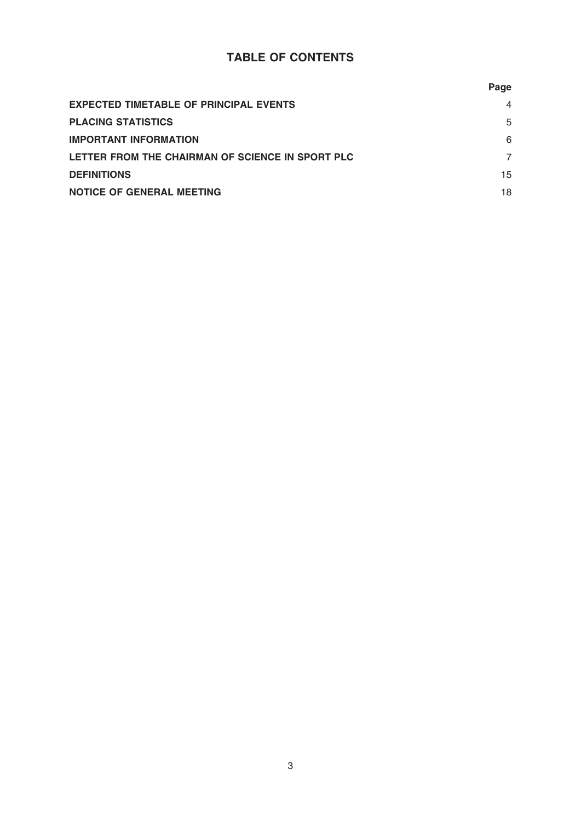## TABLE OF CONTENTS

|                                                  | Page           |
|--------------------------------------------------|----------------|
| <b>EXPECTED TIMETABLE OF PRINCIPAL EVENTS</b>    | 4              |
| <b>PLACING STATISTICS</b>                        | 5              |
| <b>IMPORTANT INFORMATION</b>                     | 6              |
| LETTER FROM THE CHAIRMAN OF SCIENCE IN SPORT PLC | $\overline{7}$ |
| <b>DEFINITIONS</b>                               | 15             |
| <b>NOTICE OF GENERAL MEETING</b>                 | 18             |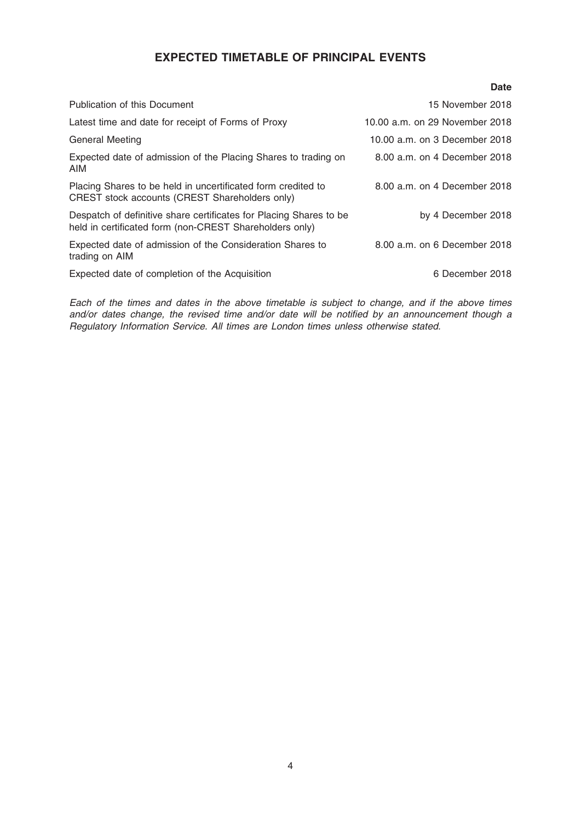## EXPECTED TIMETABLE OF PRINCIPAL EVENTS

|                                                                                                                               | Date                           |
|-------------------------------------------------------------------------------------------------------------------------------|--------------------------------|
| Publication of this Document                                                                                                  | 15 November 2018               |
| Latest time and date for receipt of Forms of Proxy                                                                            | 10.00 a.m. on 29 November 2018 |
| General Meeting                                                                                                               | 10.00 a.m. on 3 December 2018  |
| Expected date of admission of the Placing Shares to trading on<br>AIM                                                         | 8.00 a.m. on 4 December 2018   |
| Placing Shares to be held in uncertificated form credited to<br>CREST stock accounts (CREST Shareholders only)                | 8.00 a.m. on 4 December 2018   |
| Despatch of definitive share certificates for Placing Shares to be<br>held in certificated form (non-CREST Shareholders only) | by 4 December 2018             |
| Expected date of admission of the Consideration Shares to<br>trading on AIM                                                   | 8.00 a.m. on 6 December 2018   |
| Expected date of completion of the Acquisition                                                                                | 6 December 2018                |

Each of the times and dates in the above timetable is subject to change, and if the above times and/or dates change, the revised time and/or date will be notified by an announcement though a Regulatory Information Service. All times are London times unless otherwise stated.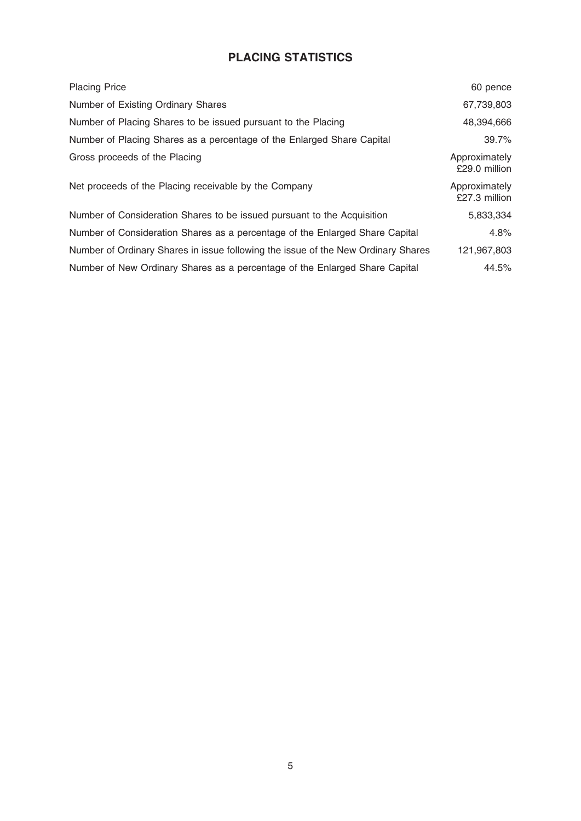## PLACING STATISTICS

| <b>Placing Price</b>                                                              | 60 pence                       |
|-----------------------------------------------------------------------------------|--------------------------------|
| Number of Existing Ordinary Shares                                                | 67,739,803                     |
| Number of Placing Shares to be issued pursuant to the Placing                     | 48,394,666                     |
| Number of Placing Shares as a percentage of the Enlarged Share Capital            | 39.7%                          |
| Gross proceeds of the Placing                                                     | Approximately<br>£29.0 million |
| Net proceeds of the Placing receivable by the Company                             | Approximately<br>£27.3 million |
| Number of Consideration Shares to be issued pursuant to the Acquisition           | 5,833,334                      |
| Number of Consideration Shares as a percentage of the Enlarged Share Capital      | 4.8%                           |
| Number of Ordinary Shares in issue following the issue of the New Ordinary Shares | 121,967,803                    |
| Number of New Ordinary Shares as a percentage of the Enlarged Share Capital       | 44.5%                          |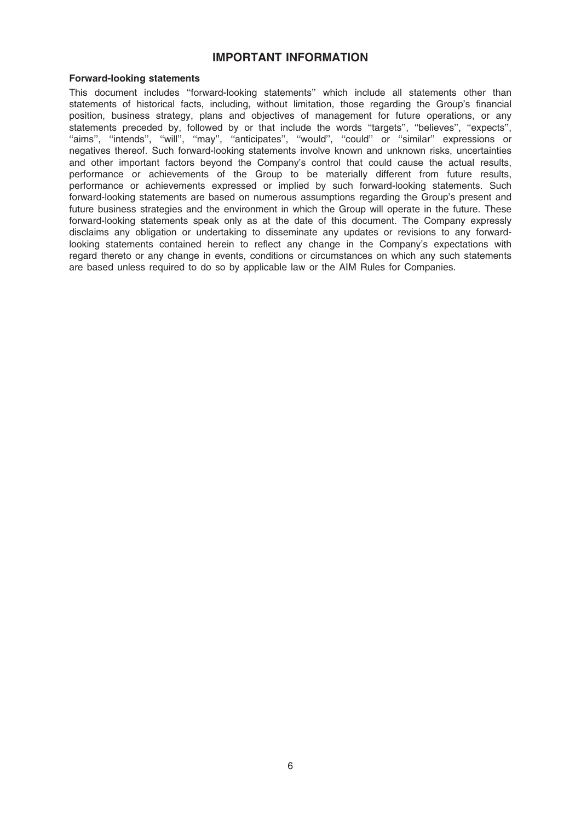## IMPORTANT INFORMATION

#### Forward-looking statements

This document includes ''forward-looking statements'' which include all statements other than statements of historical facts, including, without limitation, those regarding the Group's financial position, business strategy, plans and objectives of management for future operations, or any statements preceded by, followed by or that include the words ''targets'', ''believes'', ''expects'', "aims", "intends", "will", "may", "anticipates", "would", "could" or "similar" expressions or negatives thereof. Such forward-looking statements involve known and unknown risks, uncertainties and other important factors beyond the Company's control that could cause the actual results, performance or achievements of the Group to be materially different from future results, performance or achievements expressed or implied by such forward-looking statements. Such forward-looking statements are based on numerous assumptions regarding the Group's present and future business strategies and the environment in which the Group will operate in the future. These forward-looking statements speak only as at the date of this document. The Company expressly disclaims any obligation or undertaking to disseminate any updates or revisions to any forwardlooking statements contained herein to reflect any change in the Company's expectations with regard thereto or any change in events, conditions or circumstances on which any such statements are based unless required to do so by applicable law or the AIM Rules for Companies.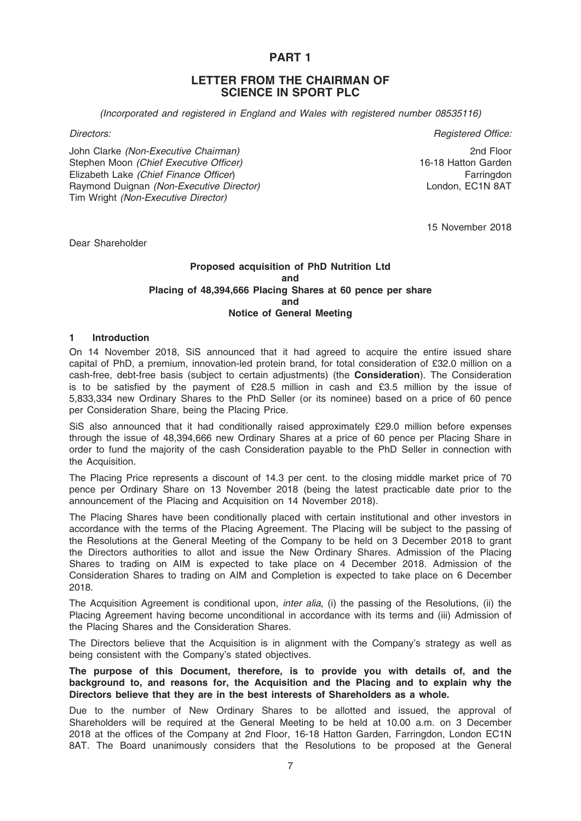## PART 1

### LETTER FROM THE CHAIRMAN OF SCIENCE IN SPORT PLC

(Incorporated and registered in England and Wales with registered number 08535116)

John Clarke (Non-Executive Chairman) Stephen Moon (Chief Executive Officer) Elizabeth Lake (Chief Finance Officer) Raymond Duignan (Non-Executive Director) Tim Wright (Non-Executive Director)

Directors: Registered Office:

2nd Floor 16-18 Hatton Garden Farringdon London, EC1N 8AT

15 November 2018

Dear Shareholder

#### Proposed acquisition of PhD Nutrition Ltd and Placing of 48,394,666 Placing Shares at 60 pence per share and Notice of General Meeting

#### 1 Introduction

On 14 November 2018, SiS announced that it had agreed to acquire the entire issued share capital of PhD, a premium, innovation-led protein brand, for total consideration of £32.0 million on a cash-free, debt-free basis (subject to certain adjustments) (the Consideration). The Consideration is to be satisfied by the payment of £28.5 million in cash and £3.5 million by the issue of 5,833,334 new Ordinary Shares to the PhD Seller (or its nominee) based on a price of 60 pence per Consideration Share, being the Placing Price.

SiS also announced that it had conditionally raised approximately £29.0 million before expenses through the issue of 48,394,666 new Ordinary Shares at a price of 60 pence per Placing Share in order to fund the majority of the cash Consideration payable to the PhD Seller in connection with the Acquisition.

The Placing Price represents a discount of 14.3 per cent. to the closing middle market price of 70 pence per Ordinary Share on 13 November 2018 (being the latest practicable date prior to the announcement of the Placing and Acquisition on 14 November 2018).

The Placing Shares have been conditionally placed with certain institutional and other investors in accordance with the terms of the Placing Agreement. The Placing will be subject to the passing of the Resolutions at the General Meeting of the Company to be held on 3 December 2018 to grant the Directors authorities to allot and issue the New Ordinary Shares. Admission of the Placing Shares to trading on AIM is expected to take place on 4 December 2018. Admission of the Consideration Shares to trading on AIM and Completion is expected to take place on 6 December 2018.

The Acquisition Agreement is conditional upon, *inter alia*, (i) the passing of the Resolutions, (ii) the Placing Agreement having become unconditional in accordance with its terms and (iii) Admission of the Placing Shares and the Consideration Shares.

The Directors believe that the Acquisition is in alignment with the Company's strategy as well as being consistent with the Company's stated objectives.

The purpose of this Document, therefore, is to provide you with details of, and the background to, and reasons for, the Acquisition and the Placing and to explain why the Directors believe that they are in the best interests of Shareholders as a whole.

Due to the number of New Ordinary Shares to be allotted and issued, the approval of Shareholders will be required at the General Meeting to be held at 10.00 a.m. on 3 December 2018 at the offices of the Company at 2nd Floor, 16-18 Hatton Garden, Farringdon, London EC1N 8AT. The Board unanimously considers that the Resolutions to be proposed at the General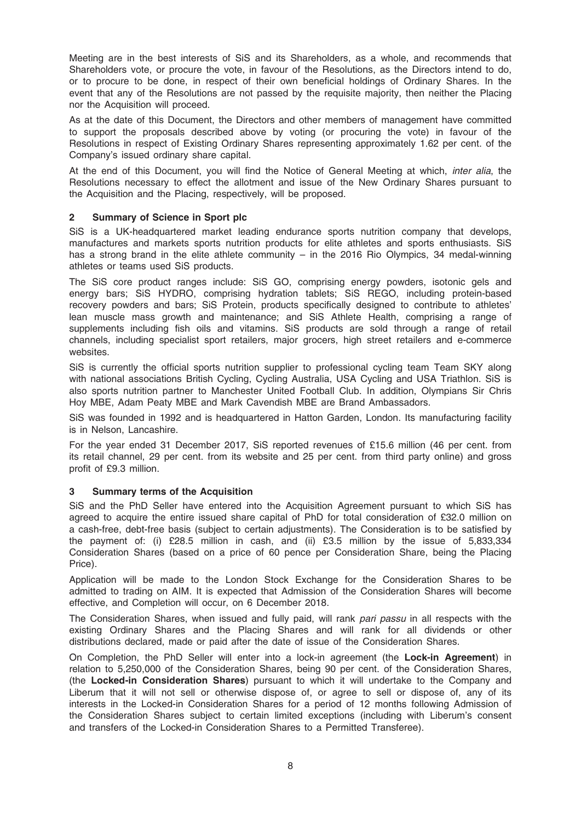Meeting are in the best interests of SiS and its Shareholders, as a whole, and recommends that Shareholders vote, or procure the vote, in favour of the Resolutions, as the Directors intend to do, or to procure to be done, in respect of their own beneficial holdings of Ordinary Shares. In the event that any of the Resolutions are not passed by the requisite majority, then neither the Placing nor the Acquisition will proceed.

As at the date of this Document, the Directors and other members of management have committed to support the proposals described above by voting (or procuring the vote) in favour of the Resolutions in respect of Existing Ordinary Shares representing approximately 1.62 per cent. of the Company's issued ordinary share capital.

At the end of this Document, you will find the Notice of General Meeting at which, inter alia, the Resolutions necessary to effect the allotment and issue of the New Ordinary Shares pursuant to the Acquisition and the Placing, respectively, will be proposed.

#### 2 Summary of Science in Sport plc

SiS is a UK-headquartered market leading endurance sports nutrition company that develops, manufactures and markets sports nutrition products for elite athletes and sports enthusiasts. SiS has a strong brand in the elite athlete community – in the 2016 Rio Olympics, 34 medal-winning athletes or teams used SiS products.

The SiS core product ranges include: SiS GO, comprising energy powders, isotonic gels and energy bars; SiS HYDRO, comprising hydration tablets; SiS REGO, including protein-based recovery powders and bars; SiS Protein, products specifically designed to contribute to athletes' lean muscle mass growth and maintenance; and SiS Athlete Health, comprising a range of supplements including fish oils and vitamins. SiS products are sold through a range of retail channels, including specialist sport retailers, major grocers, high street retailers and e-commerce websites.

SiS is currently the official sports nutrition supplier to professional cycling team Team SKY along with national associations British Cycling, Cycling Australia, USA Cycling and USA Triathlon. SiS is also sports nutrition partner to Manchester United Football Club. In addition, Olympians Sir Chris Hoy MBE, Adam Peaty MBE and Mark Cavendish MBE are Brand Ambassadors.

SiS was founded in 1992 and is headquartered in Hatton Garden, London. Its manufacturing facility is in Nelson, Lancashire.

For the year ended 31 December 2017, SiS reported revenues of £15.6 million (46 per cent. from its retail channel, 29 per cent. from its website and 25 per cent. from third party online) and gross profit of £9.3 million.

#### 3 Summary terms of the Acquisition

SiS and the PhD Seller have entered into the Acquisition Agreement pursuant to which SiS has agreed to acquire the entire issued share capital of PhD for total consideration of £32.0 million on a cash-free, debt-free basis (subject to certain adjustments). The Consideration is to be satisfied by the payment of: (i) £28.5 million in cash, and (ii) £3.5 million by the issue of 5,833,334 Consideration Shares (based on a price of 60 pence per Consideration Share, being the Placing Price).

Application will be made to the London Stock Exchange for the Consideration Shares to be admitted to trading on AIM. It is expected that Admission of the Consideration Shares will become effective, and Completion will occur, on 6 December 2018.

The Consideration Shares, when issued and fully paid, will rank pari passu in all respects with the existing Ordinary Shares and the Placing Shares and will rank for all dividends or other distributions declared, made or paid after the date of issue of the Consideration Shares.

On Completion, the PhD Seller will enter into a lock-in agreement (the Lock-in Agreement) in relation to 5,250,000 of the Consideration Shares, being 90 per cent. of the Consideration Shares, (the Locked-in Consideration Shares) pursuant to which it will undertake to the Company and Liberum that it will not sell or otherwise dispose of, or agree to sell or dispose of, any of its interests in the Locked-in Consideration Shares for a period of 12 months following Admission of the Consideration Shares subject to certain limited exceptions (including with Liberum's consent and transfers of the Locked-in Consideration Shares to a Permitted Transferee).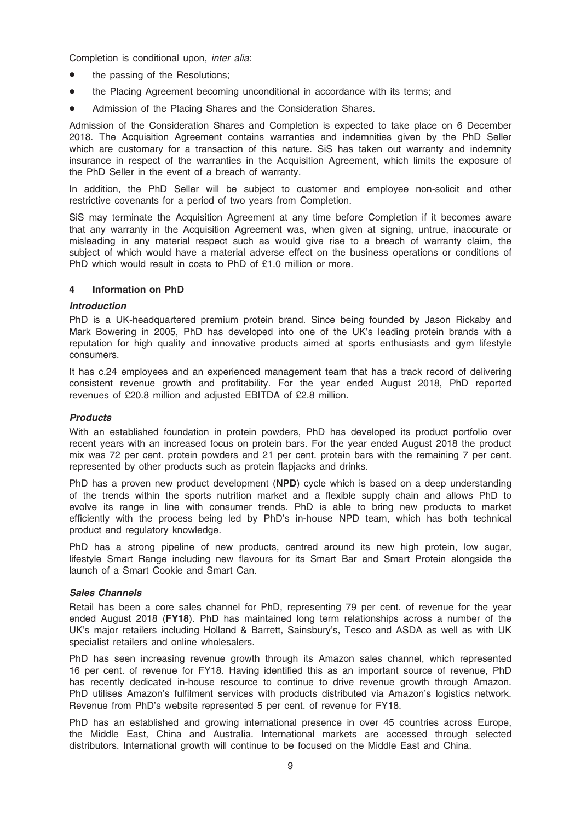Completion is conditional upon, inter alia:

- the passing of the Resolutions;
- the Placing Agreement becoming unconditional in accordance with its terms; and
- \* Admission of the Placing Shares and the Consideration Shares.

Admission of the Consideration Shares and Completion is expected to take place on 6 December 2018. The Acquisition Agreement contains warranties and indemnities given by the PhD Seller which are customary for a transaction of this nature. SiS has taken out warranty and indemnity insurance in respect of the warranties in the Acquisition Agreement, which limits the exposure of the PhD Seller in the event of a breach of warranty.

In addition, the PhD Seller will be subject to customer and employee non-solicit and other restrictive covenants for a period of two years from Completion.

SiS may terminate the Acquisition Agreement at any time before Completion if it becomes aware that any warranty in the Acquisition Agreement was, when given at signing, untrue, inaccurate or misleading in any material respect such as would give rise to a breach of warranty claim, the subject of which would have a material adverse effect on the business operations or conditions of PhD which would result in costs to PhD of £1.0 million or more.

#### 4 Information on PhD

#### Introduction

PhD is a UK-headquartered premium protein brand. Since being founded by Jason Rickaby and Mark Bowering in 2005, PhD has developed into one of the UK's leading protein brands with a reputation for high quality and innovative products aimed at sports enthusiasts and gym lifestyle consumers.

It has c.24 employees and an experienced management team that has a track record of delivering consistent revenue growth and profitability. For the year ended August 2018, PhD reported revenues of £20.8 million and adjusted EBITDA of £2.8 million.

#### **Products**

With an established foundation in protein powders, PhD has developed its product portfolio over recent years with an increased focus on protein bars. For the year ended August 2018 the product mix was 72 per cent. protein powders and 21 per cent. protein bars with the remaining 7 per cent. represented by other products such as protein flapjacks and drinks.

PhD has a proven new product development (NPD) cycle which is based on a deep understanding of the trends within the sports nutrition market and a flexible supply chain and allows PhD to evolve its range in line with consumer trends. PhD is able to bring new products to market efficiently with the process being led by PhD's in-house NPD team, which has both technical product and regulatory knowledge.

PhD has a strong pipeline of new products, centred around its new high protein, low sugar, lifestyle Smart Range including new flavours for its Smart Bar and Smart Protein alongside the launch of a Smart Cookie and Smart Can.

#### Sales Channels

Retail has been a core sales channel for PhD, representing 79 per cent. of revenue for the year ended August 2018 (FY18). PhD has maintained long term relationships across a number of the UK's major retailers including Holland & Barrett, Sainsbury's, Tesco and ASDA as well as with UK specialist retailers and online wholesalers.

PhD has seen increasing revenue growth through its Amazon sales channel, which represented 16 per cent. of revenue for FY18. Having identified this as an important source of revenue, PhD has recently dedicated in-house resource to continue to drive revenue growth through Amazon. PhD utilises Amazon's fulfilment services with products distributed via Amazon's logistics network. Revenue from PhD's website represented 5 per cent. of revenue for FY18.

PhD has an established and growing international presence in over 45 countries across Europe, the Middle East, China and Australia. International markets are accessed through selected distributors. International growth will continue to be focused on the Middle East and China.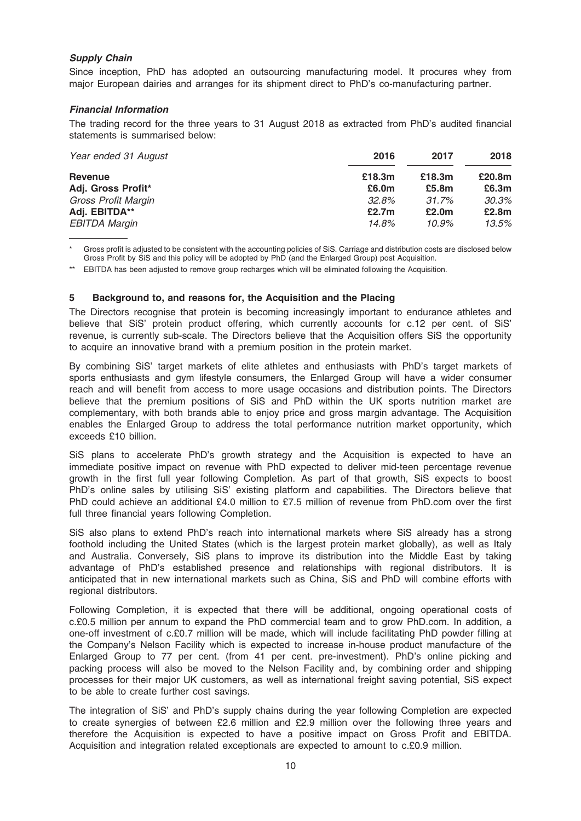#### Supply Chain

Since inception, PhD has adopted an outsourcing manufacturing model. It procures whey from major European dairies and arranges for its shipment direct to PhD's co-manufacturing partner.

#### Financial Information

The trading record for the three years to 31 August 2018 as extracted from PhD's audited financial statements is summarised below:

| Year ended 31 August       | 2016   | 2017   | 2018   |
|----------------------------|--------|--------|--------|
| Revenue                    | £18.3m | £18.3m | £20.8m |
| Adj. Gross Profit*         | £6.0m  | £5.8m  | £6.3m  |
| <b>Gross Profit Margin</b> | 32.8%  | 31.7%  | 30.3%  |
| Adj. EBITDA**              | £2.7m  | £2.0m  | £2.8m  |
| <b>EBITDA Margin</b>       | 14.8%  | 10.9%  | 13.5%  |

Gross profit is adjusted to be consistent with the accounting policies of SiS. Carriage and distribution costs are disclosed below Gross Profit by SiS and this policy will be adopted by PhD (and the Enlarged Group) post Acquisition.

\*\* EBITDA has been adjusted to remove group recharges which will be eliminated following the Acquisition.

#### 5 Background to, and reasons for, the Acquisition and the Placing

The Directors recognise that protein is becoming increasingly important to endurance athletes and believe that SiS' protein product offering, which currently accounts for c.12 per cent. of SiS' revenue, is currently sub-scale. The Directors believe that the Acquisition offers SiS the opportunity to acquire an innovative brand with a premium position in the protein market.

By combining SiS' target markets of elite athletes and enthusiasts with PhD's target markets of sports enthusiasts and gym lifestyle consumers, the Enlarged Group will have a wider consumer reach and will benefit from access to more usage occasions and distribution points. The Directors believe that the premium positions of SiS and PhD within the UK sports nutrition market are complementary, with both brands able to enjoy price and gross margin advantage. The Acquisition enables the Enlarged Group to address the total performance nutrition market opportunity, which exceeds £10 billion.

SiS plans to accelerate PhD's growth strategy and the Acquisition is expected to have an immediate positive impact on revenue with PhD expected to deliver mid-teen percentage revenue growth in the first full year following Completion. As part of that growth, SiS expects to boost PhD's online sales by utilising SiS' existing platform and capabilities. The Directors believe that PhD could achieve an additional £4.0 million to £7.5 million of revenue from PhD.com over the first full three financial years following Completion.

SiS also plans to extend PhD's reach into international markets where SiS already has a strong foothold including the United States (which is the largest protein market globally), as well as Italy and Australia. Conversely, SiS plans to improve its distribution into the Middle East by taking advantage of PhD's established presence and relationships with regional distributors. It is anticipated that in new international markets such as China, SiS and PhD will combine efforts with regional distributors.

Following Completion, it is expected that there will be additional, ongoing operational costs of c.£0.5 million per annum to expand the PhD commercial team and to grow PhD.com. In addition, a one-off investment of c.£0.7 million will be made, which will include facilitating PhD powder filling at the Company's Nelson Facility which is expected to increase in-house product manufacture of the Enlarged Group to 77 per cent. (from 41 per cent. pre-investment). PhD's online picking and packing process will also be moved to the Nelson Facility and, by combining order and shipping processes for their major UK customers, as well as international freight saving potential, SiS expect to be able to create further cost savings.

The integration of SiS' and PhD's supply chains during the year following Completion are expected to create synergies of between £2.6 million and £2.9 million over the following three years and therefore the Acquisition is expected to have a positive impact on Gross Profit and EBITDA. Acquisition and integration related exceptionals are expected to amount to c.£0.9 million.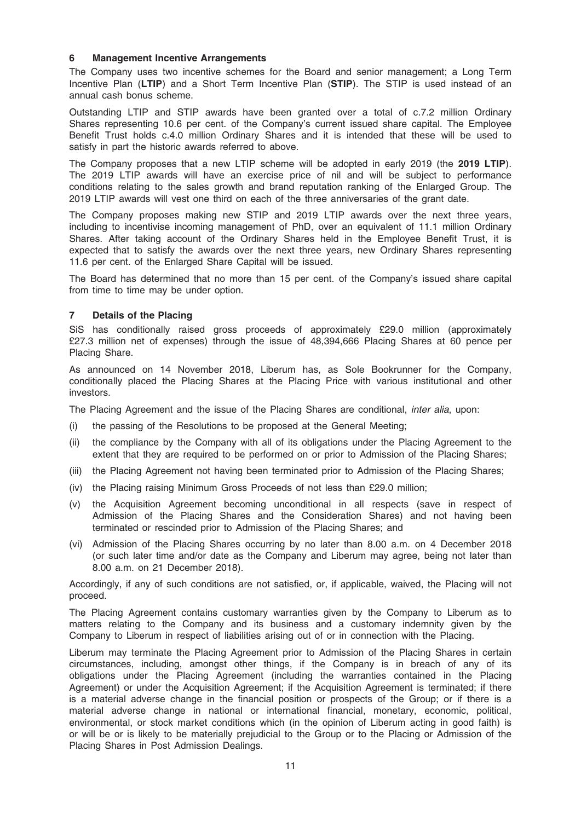#### 6 Management Incentive Arrangements

The Company uses two incentive schemes for the Board and senior management; a Long Term Incentive Plan (LTIP) and a Short Term Incentive Plan (STIP). The STIP is used instead of an annual cash bonus scheme.

Outstanding LTIP and STIP awards have been granted over a total of c.7.2 million Ordinary Shares representing 10.6 per cent. of the Company's current issued share capital. The Employee Benefit Trust holds c.4.0 million Ordinary Shares and it is intended that these will be used to satisfy in part the historic awards referred to above.

The Company proposes that a new LTIP scheme will be adopted in early 2019 (the 2019 LTIP). The 2019 LTIP awards will have an exercise price of nil and will be subject to performance conditions relating to the sales growth and brand reputation ranking of the Enlarged Group. The 2019 LTIP awards will vest one third on each of the three anniversaries of the grant date.

The Company proposes making new STIP and 2019 LTIP awards over the next three years, including to incentivise incoming management of PhD, over an equivalent of 11.1 million Ordinary Shares. After taking account of the Ordinary Shares held in the Employee Benefit Trust, it is expected that to satisfy the awards over the next three years, new Ordinary Shares representing 11.6 per cent. of the Enlarged Share Capital will be issued.

The Board has determined that no more than 15 per cent. of the Company's issued share capital from time to time may be under option.

#### 7 Details of the Placing

SiS has conditionally raised gross proceeds of approximately £29.0 million (approximately £27.3 million net of expenses) through the issue of 48,394,666 Placing Shares at 60 pence per Placing Share.

As announced on 14 November 2018, Liberum has, as Sole Bookrunner for the Company, conditionally placed the Placing Shares at the Placing Price with various institutional and other investors.

The Placing Agreement and the issue of the Placing Shares are conditional, inter alia, upon:

- (i) the passing of the Resolutions to be proposed at the General Meeting;
- (ii) the compliance by the Company with all of its obligations under the Placing Agreement to the extent that they are required to be performed on or prior to Admission of the Placing Shares;
- (iii) the Placing Agreement not having been terminated prior to Admission of the Placing Shares;
- (iv) the Placing raising Minimum Gross Proceeds of not less than £29.0 million;
- (v) the Acquisition Agreement becoming unconditional in all respects (save in respect of Admission of the Placing Shares and the Consideration Shares) and not having been terminated or rescinded prior to Admission of the Placing Shares; and
- (vi) Admission of the Placing Shares occurring by no later than 8.00 a.m. on 4 December 2018 (or such later time and/or date as the Company and Liberum may agree, being not later than 8.00 a.m. on 21 December 2018).

Accordingly, if any of such conditions are not satisfied, or, if applicable, waived, the Placing will not proceed.

The Placing Agreement contains customary warranties given by the Company to Liberum as to matters relating to the Company and its business and a customary indemnity given by the Company to Liberum in respect of liabilities arising out of or in connection with the Placing.

Liberum may terminate the Placing Agreement prior to Admission of the Placing Shares in certain circumstances, including, amongst other things, if the Company is in breach of any of its obligations under the Placing Agreement (including the warranties contained in the Placing Agreement) or under the Acquisition Agreement; if the Acquisition Agreement is terminated; if there is a material adverse change in the financial position or prospects of the Group; or if there is a material adverse change in national or international financial, monetary, economic, political, environmental, or stock market conditions which (in the opinion of Liberum acting in good faith) is or will be or is likely to be materially prejudicial to the Group or to the Placing or Admission of the Placing Shares in Post Admission Dealings.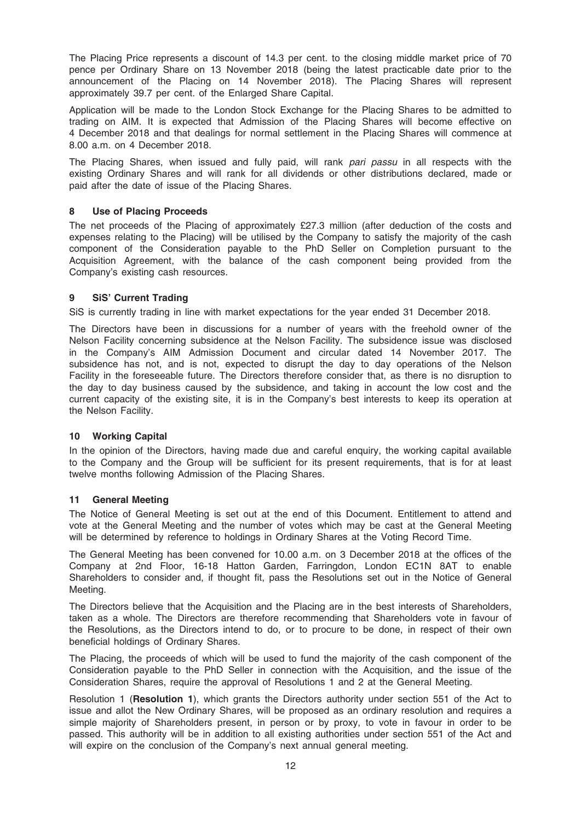The Placing Price represents a discount of 14.3 per cent. to the closing middle market price of 70 pence per Ordinary Share on 13 November 2018 (being the latest practicable date prior to the announcement of the Placing on 14 November 2018). The Placing Shares will represent approximately 39.7 per cent. of the Enlarged Share Capital.

Application will be made to the London Stock Exchange for the Placing Shares to be admitted to trading on AIM. It is expected that Admission of the Placing Shares will become effective on 4 December 2018 and that dealings for normal settlement in the Placing Shares will commence at 8.00 a.m. on 4 December 2018.

The Placing Shares, when issued and fully paid, will rank pari passu in all respects with the existing Ordinary Shares and will rank for all dividends or other distributions declared, made or paid after the date of issue of the Placing Shares.

#### 8 Use of Placing Proceeds

The net proceeds of the Placing of approximately £27.3 million (after deduction of the costs and expenses relating to the Placing) will be utilised by the Company to satisfy the majority of the cash component of the Consideration payable to the PhD Seller on Completion pursuant to the Acquisition Agreement, with the balance of the cash component being provided from the Company's existing cash resources.

#### 9 SiS' Current Trading

SiS is currently trading in line with market expectations for the year ended 31 December 2018.

The Directors have been in discussions for a number of years with the freehold owner of the Nelson Facility concerning subsidence at the Nelson Facility. The subsidence issue was disclosed in the Company's AIM Admission Document and circular dated 14 November 2017. The subsidence has not, and is not, expected to disrupt the day to day operations of the Nelson Facility in the foreseeable future. The Directors therefore consider that, as there is no disruption to the day to day business caused by the subsidence, and taking in account the low cost and the current capacity of the existing site, it is in the Company's best interests to keep its operation at the Nelson Facility.

#### 10 Working Capital

In the opinion of the Directors, having made due and careful enquiry, the working capital available to the Company and the Group will be sufficient for its present requirements, that is for at least twelve months following Admission of the Placing Shares.

#### 11 General Meeting

The Notice of General Meeting is set out at the end of this Document. Entitlement to attend and vote at the General Meeting and the number of votes which may be cast at the General Meeting will be determined by reference to holdings in Ordinary Shares at the Voting Record Time.

The General Meeting has been convened for 10.00 a.m. on 3 December 2018 at the offices of the Company at 2nd Floor, 16-18 Hatton Garden, Farringdon, London EC1N 8AT to enable Shareholders to consider and, if thought fit, pass the Resolutions set out in the Notice of General Meeting.

The Directors believe that the Acquisition and the Placing are in the best interests of Shareholders, taken as a whole. The Directors are therefore recommending that Shareholders vote in favour of the Resolutions, as the Directors intend to do, or to procure to be done, in respect of their own beneficial holdings of Ordinary Shares.

The Placing, the proceeds of which will be used to fund the majority of the cash component of the Consideration payable to the PhD Seller in connection with the Acquisition, and the issue of the Consideration Shares, require the approval of Resolutions 1 and 2 at the General Meeting.

Resolution 1 (Resolution 1), which grants the Directors authority under section 551 of the Act to issue and allot the New Ordinary Shares, will be proposed as an ordinary resolution and requires a simple majority of Shareholders present, in person or by proxy, to vote in favour in order to be passed. This authority will be in addition to all existing authorities under section 551 of the Act and will expire on the conclusion of the Company's next annual general meeting.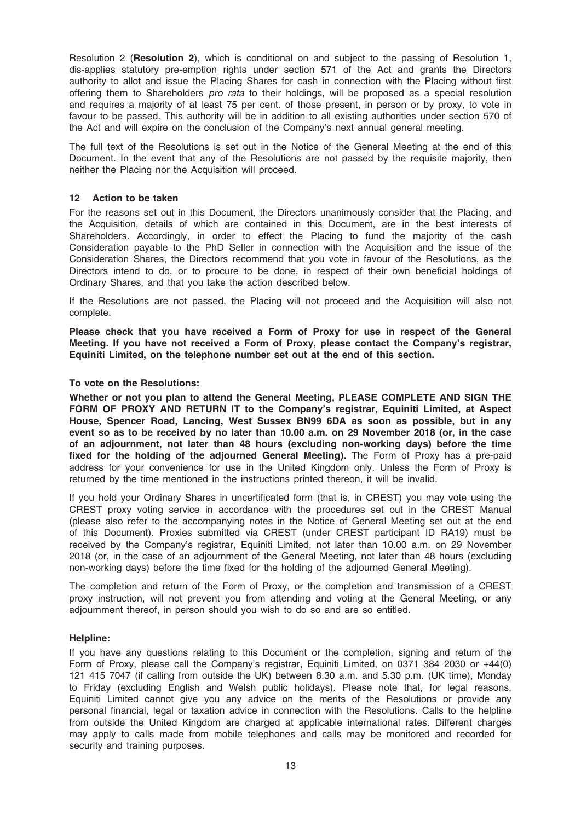Resolution 2 (Resolution 2), which is conditional on and subject to the passing of Resolution 1, dis-applies statutory pre-emption rights under section 571 of the Act and grants the Directors authority to allot and issue the Placing Shares for cash in connection with the Placing without first offering them to Shareholders pro rata to their holdings, will be proposed as a special resolution and requires a majority of at least 75 per cent. of those present, in person or by proxy, to vote in favour to be passed. This authority will be in addition to all existing authorities under section 570 of the Act and will expire on the conclusion of the Company's next annual general meeting.

The full text of the Resolutions is set out in the Notice of the General Meeting at the end of this Document. In the event that any of the Resolutions are not passed by the requisite majority, then neither the Placing nor the Acquisition will proceed.

#### 12 Action to be taken

For the reasons set out in this Document, the Directors unanimously consider that the Placing, and the Acquisition, details of which are contained in this Document, are in the best interests of Shareholders. Accordingly, in order to effect the Placing to fund the majority of the cash Consideration payable to the PhD Seller in connection with the Acquisition and the issue of the Consideration Shares, the Directors recommend that you vote in favour of the Resolutions, as the Directors intend to do, or to procure to be done, in respect of their own beneficial holdings of Ordinary Shares, and that you take the action described below.

If the Resolutions are not passed, the Placing will not proceed and the Acquisition will also not complete.

Please check that you have received a Form of Proxy for use in respect of the General Meeting. If you have not received a Form of Proxy, please contact the Company's registrar, Equiniti Limited, on the telephone number set out at the end of this section.

#### To vote on the Resolutions:

Whether or not you plan to attend the General Meeting, PLEASE COMPLETE AND SIGN THE FORM OF PROXY AND RETURN IT to the Company's registrar, Equiniti Limited, at Aspect House, Spencer Road, Lancing, West Sussex BN99 6DA as soon as possible, but in any event so as to be received by no later than 10.00 a.m. on 29 November 2018 (or, in the case of an adjournment, not later than 48 hours (excluding non-working days) before the time fixed for the holding of the adjourned General Meeting). The Form of Proxy has a pre-paid address for your convenience for use in the United Kingdom only. Unless the Form of Proxy is returned by the time mentioned in the instructions printed thereon, it will be invalid.

If you hold your Ordinary Shares in uncertificated form (that is, in CREST) you may vote using the CREST proxy voting service in accordance with the procedures set out in the CREST Manual (please also refer to the accompanying notes in the Notice of General Meeting set out at the end of this Document). Proxies submitted via CREST (under CREST participant ID RA19) must be received by the Company's registrar, Equiniti Limited, not later than 10.00 a.m. on 29 November 2018 (or, in the case of an adjournment of the General Meeting, not later than 48 hours (excluding non-working days) before the time fixed for the holding of the adjourned General Meeting).

The completion and return of the Form of Proxy, or the completion and transmission of a CREST proxy instruction, will not prevent you from attending and voting at the General Meeting, or any adjournment thereof, in person should you wish to do so and are so entitled.

#### Helpline:

If you have any questions relating to this Document or the completion, signing and return of the Form of Proxy, please call the Company's registrar, Equiniti Limited, on 0371 384 2030 or +44(0) 121 415 7047 (if calling from outside the UK) between 8.30 a.m. and 5.30 p.m. (UK time), Monday to Friday (excluding English and Welsh public holidays). Please note that, for legal reasons, Equiniti Limited cannot give you any advice on the merits of the Resolutions or provide any personal financial, legal or taxation advice in connection with the Resolutions. Calls to the helpline from outside the United Kingdom are charged at applicable international rates. Different charges may apply to calls made from mobile telephones and calls may be monitored and recorded for security and training purposes.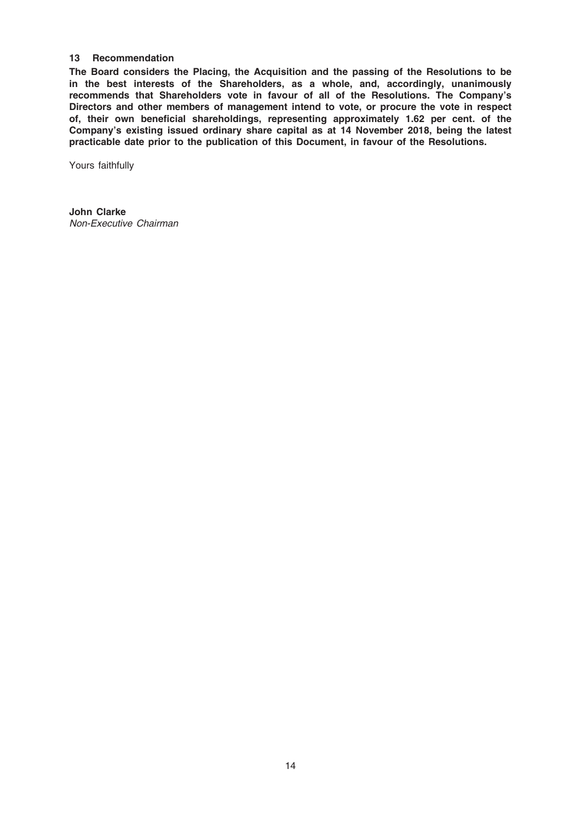#### 13 Recommendation

The Board considers the Placing, the Acquisition and the passing of the Resolutions to be in the best interests of the Shareholders, as a whole, and, accordingly, unanimously recommends that Shareholders vote in favour of all of the Resolutions. The Company's Directors and other members of management intend to vote, or procure the vote in respect of, their own beneficial shareholdings, representing approximately 1.62 per cent. of the Company's existing issued ordinary share capital as at 14 November 2018, being the latest practicable date prior to the publication of this Document, in favour of the Resolutions.

Yours faithfully

John Clarke Non-Executive Chairman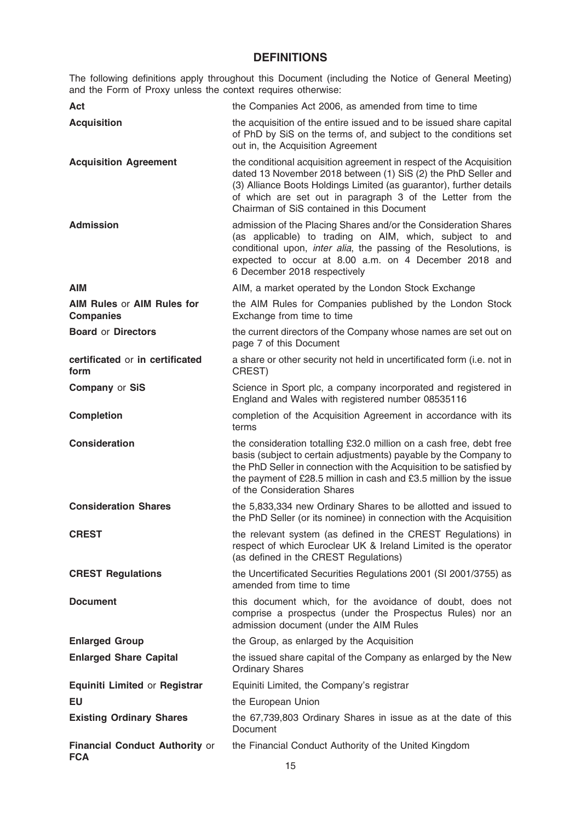## **DEFINITIONS**

The following definitions apply throughout this Document (including the Notice of General Meeting) and the Form of Proxy unless the context requires otherwise:

| Act                                                   | the Companies Act 2006, as amended from time to time                                                                                                                                                                                                                                                                    |
|-------------------------------------------------------|-------------------------------------------------------------------------------------------------------------------------------------------------------------------------------------------------------------------------------------------------------------------------------------------------------------------------|
| <b>Acquisition</b>                                    | the acquisition of the entire issued and to be issued share capital<br>of PhD by SiS on the terms of, and subject to the conditions set<br>out in, the Acquisition Agreement                                                                                                                                            |
| <b>Acquisition Agreement</b>                          | the conditional acquisition agreement in respect of the Acquisition<br>dated 13 November 2018 between (1) SiS (2) the PhD Seller and<br>(3) Alliance Boots Holdings Limited (as guarantor), further details<br>of which are set out in paragraph 3 of the Letter from the<br>Chairman of SiS contained in this Document |
| <b>Admission</b>                                      | admission of the Placing Shares and/or the Consideration Shares<br>(as applicable) to trading on AIM, which, subject to and<br>conditional upon, inter alia, the passing of the Resolutions, is<br>expected to occur at 8.00 a.m. on 4 December 2018 and<br>6 December 2018 respectively                                |
| <b>AIM</b>                                            | AIM, a market operated by the London Stock Exchange                                                                                                                                                                                                                                                                     |
| <b>AIM Rules or AIM Rules for</b><br><b>Companies</b> | the AIM Rules for Companies published by the London Stock<br>Exchange from time to time                                                                                                                                                                                                                                 |
| <b>Board or Directors</b>                             | the current directors of the Company whose names are set out on<br>page 7 of this Document                                                                                                                                                                                                                              |
| certificated or in certificated<br>form               | a share or other security not held in uncertificated form (i.e. not in<br>CREST)                                                                                                                                                                                                                                        |
| <b>Company or SiS</b>                                 | Science in Sport plc, a company incorporated and registered in<br>England and Wales with registered number 08535116                                                                                                                                                                                                     |
| <b>Completion</b>                                     | completion of the Acquisition Agreement in accordance with its<br>terms                                                                                                                                                                                                                                                 |
| <b>Consideration</b>                                  | the consideration totalling £32.0 million on a cash free, debt free<br>basis (subject to certain adjustments) payable by the Company to<br>the PhD Seller in connection with the Acquisition to be satisfied by<br>the payment of £28.5 million in cash and £3.5 million by the issue<br>of the Consideration Shares    |
| <b>Consideration Shares</b>                           | the 5,833,334 new Ordinary Shares to be allotted and issued to<br>the PhD Seller (or its nominee) in connection with the Acquisition                                                                                                                                                                                    |
| <b>CREST</b>                                          | the relevant system (as defined in the CREST Regulations) in<br>respect of which Euroclear UK & Ireland Limited is the operator<br>(as defined in the CREST Regulations)                                                                                                                                                |
| <b>CREST Regulations</b>                              | the Uncertificated Securities Regulations 2001 (SI 2001/3755) as<br>amended from time to time                                                                                                                                                                                                                           |
| <b>Document</b>                                       | this document which, for the avoidance of doubt, does not<br>comprise a prospectus (under the Prospectus Rules) nor an<br>admission document (under the AIM Rules                                                                                                                                                       |
| <b>Enlarged Group</b>                                 | the Group, as enlarged by the Acquisition                                                                                                                                                                                                                                                                               |
| <b>Enlarged Share Capital</b>                         | the issued share capital of the Company as enlarged by the New<br><b>Ordinary Shares</b>                                                                                                                                                                                                                                |
| Equiniti Limited or Registrar                         | Equiniti Limited, the Company's registrar                                                                                                                                                                                                                                                                               |
|                                                       |                                                                                                                                                                                                                                                                                                                         |
| EU                                                    | the European Union                                                                                                                                                                                                                                                                                                      |
| <b>Existing Ordinary Shares</b>                       | the 67,739,803 Ordinary Shares in issue as at the date of this<br>Document                                                                                                                                                                                                                                              |
| <b>Financial Conduct Authority or</b><br><b>FCA</b>   | the Financial Conduct Authority of the United Kingdom                                                                                                                                                                                                                                                                   |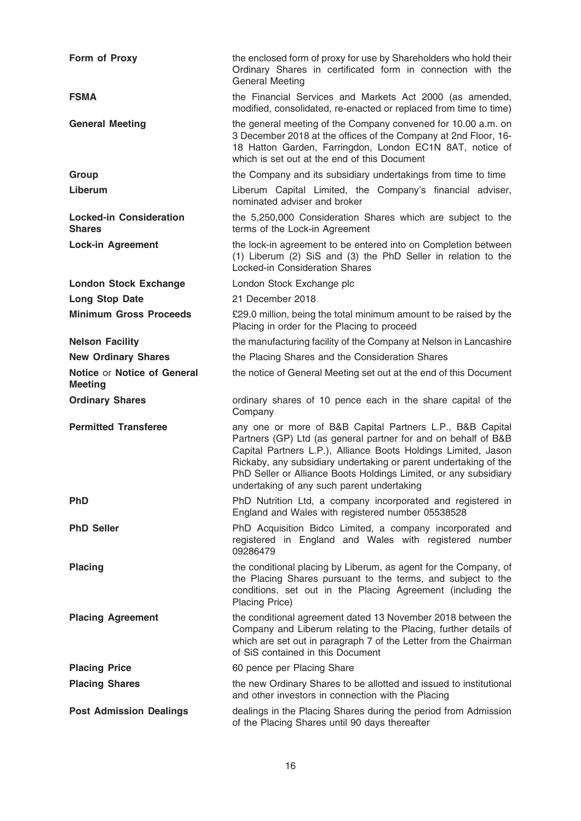| Form of Proxy                                   | the enclosed form of proxy for use by Shareholders who hold their<br>Ordinary Shares in certificated form in connection with the<br><b>General Meeting</b>                                                                                                                                                                                                                          |
|-------------------------------------------------|-------------------------------------------------------------------------------------------------------------------------------------------------------------------------------------------------------------------------------------------------------------------------------------------------------------------------------------------------------------------------------------|
| <b>FSMA</b>                                     | the Financial Services and Markets Act 2000 (as amended,<br>modified, consolidated, re-enacted or replaced from time to time)                                                                                                                                                                                                                                                       |
| <b>General Meeting</b>                          | the general meeting of the Company convened for 10.00 a.m. on<br>3 December 2018 at the offices of the Company at 2nd Floor, 16-<br>18 Hatton Garden, Farringdon, London EC1N 8AT, notice of<br>which is set out at the end of this Document                                                                                                                                        |
| Group                                           | the Company and its subsidiary undertakings from time to time                                                                                                                                                                                                                                                                                                                       |
| Liberum                                         | Liberum Capital Limited, the Company's financial adviser,<br>nominated adviser and broker                                                                                                                                                                                                                                                                                           |
| <b>Locked-in Consideration</b><br><b>Shares</b> | the 5,250,000 Consideration Shares which are subject to the<br>terms of the Lock-in Agreement                                                                                                                                                                                                                                                                                       |
| <b>Lock-in Agreement</b>                        | the lock-in agreement to be entered into on Completion between<br>(1) Liberum (2) SiS and (3) the PhD Seller in relation to the<br><b>Locked-in Consideration Shares</b>                                                                                                                                                                                                            |
| <b>London Stock Exchange</b>                    | London Stock Exchange plc                                                                                                                                                                                                                                                                                                                                                           |
| <b>Long Stop Date</b>                           | 21 December 2018                                                                                                                                                                                                                                                                                                                                                                    |
| <b>Minimum Gross Proceeds</b>                   | £29.0 million, being the total minimum amount to be raised by the<br>Placing in order for the Placing to proceed                                                                                                                                                                                                                                                                    |
| <b>Nelson Facility</b>                          | the manufacturing facility of the Company at Nelson in Lancashire                                                                                                                                                                                                                                                                                                                   |
| <b>New Ordinary Shares</b>                      | the Placing Shares and the Consideration Shares                                                                                                                                                                                                                                                                                                                                     |
| Notice or Notice of General<br><b>Meeting</b>   | the notice of General Meeting set out at the end of this Document                                                                                                                                                                                                                                                                                                                   |
| <b>Ordinary Shares</b>                          |                                                                                                                                                                                                                                                                                                                                                                                     |
|                                                 | ordinary shares of 10 pence each in the share capital of the<br>Company                                                                                                                                                                                                                                                                                                             |
| <b>Permitted Transferee</b>                     | any one or more of B&B Capital Partners L.P., B&B Capital<br>Partners (GP) Ltd (as general partner for and on behalf of B&B<br>Capital Partners L.P.), Alliance Boots Holdings Limited, Jason<br>Rickaby, any subsidiary undertaking or parent undertaking of the<br>PhD Seller or Alliance Boots Holdings Limited, or any subsidiary<br>undertaking of any such parent undertaking |
| <b>PhD</b>                                      | PhD Nutrition Ltd, a company incorporated and registered in<br>England and Wales with registered number 05538528                                                                                                                                                                                                                                                                    |
| <b>PhD Seller</b>                               | PhD Acquisition Bidco Limited, a company incorporated and<br>registered in England and Wales with registered number<br>09286479                                                                                                                                                                                                                                                     |
| <b>Placing</b>                                  | the conditional placing by Liberum, as agent for the Company, of<br>the Placing Shares pursuant to the terms, and subject to the<br>conditions, set out in the Placing Agreement (including the<br>Placing Price)                                                                                                                                                                   |
| <b>Placing Agreement</b>                        | the conditional agreement dated 13 November 2018 between the<br>Company and Liberum relating to the Placing, further details of<br>which are set out in paragraph 7 of the Letter from the Chairman<br>of SiS contained in this Document                                                                                                                                            |
| <b>Placing Price</b>                            | 60 pence per Placing Share                                                                                                                                                                                                                                                                                                                                                          |
| <b>Placing Shares</b>                           | the new Ordinary Shares to be allotted and issued to institutional<br>and other investors in connection with the Placing                                                                                                                                                                                                                                                            |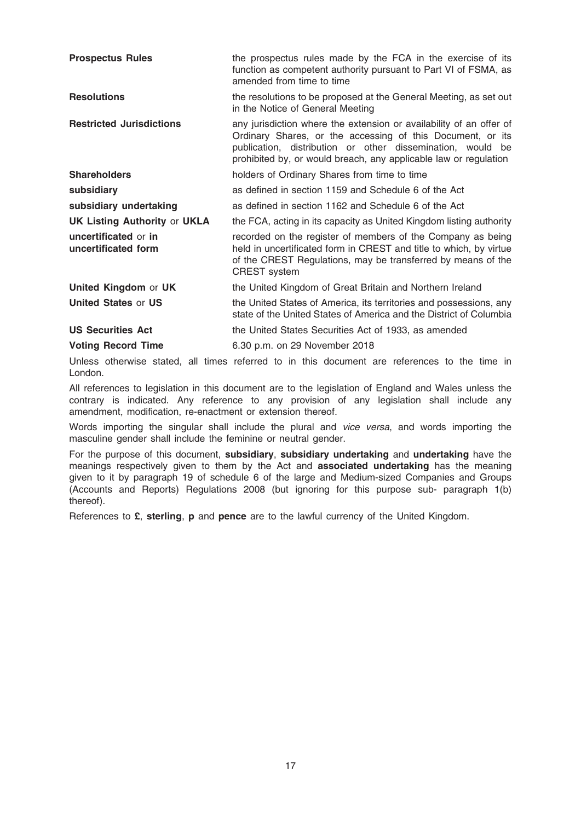| <b>Prospectus Rules</b>                     | the prospectus rules made by the FCA in the exercise of its<br>function as competent authority pursuant to Part VI of FSMA, as<br>amended from time to time                                                                                                         |
|---------------------------------------------|---------------------------------------------------------------------------------------------------------------------------------------------------------------------------------------------------------------------------------------------------------------------|
| <b>Resolutions</b>                          | the resolutions to be proposed at the General Meeting, as set out<br>in the Notice of General Meeting                                                                                                                                                               |
| <b>Restricted Jurisdictions</b>             | any jurisdiction where the extension or availability of an offer of<br>Ordinary Shares, or the accessing of this Document, or its<br>publication, distribution or other dissemination, would be<br>prohibited by, or would breach, any applicable law or regulation |
| <b>Shareholders</b>                         | holders of Ordinary Shares from time to time                                                                                                                                                                                                                        |
| subsidiary                                  | as defined in section 1159 and Schedule 6 of the Act                                                                                                                                                                                                                |
| subsidiary undertaking                      | as defined in section 1162 and Schedule 6 of the Act                                                                                                                                                                                                                |
| <b>UK Listing Authority or UKLA</b>         | the FCA, acting in its capacity as United Kingdom listing authority                                                                                                                                                                                                 |
| uncertificated or in<br>uncertificated form | recorded on the register of members of the Company as being<br>held in uncertificated form in CREST and title to which, by virtue<br>of the CREST Regulations, may be transferred by means of the<br><b>CREST</b> system                                            |
| <b>United Kingdom or UK</b>                 | the United Kingdom of Great Britain and Northern Ireland                                                                                                                                                                                                            |
| <b>United States or US</b>                  | the United States of America, its territories and possessions, any<br>state of the United States of America and the District of Columbia                                                                                                                            |
| <b>US Securities Act</b>                    | the United States Securities Act of 1933, as amended                                                                                                                                                                                                                |
| <b>Voting Record Time</b>                   | 6.30 p.m. on 29 November 2018                                                                                                                                                                                                                                       |

Unless otherwise stated, all times referred to in this document are references to the time in London.

All references to legislation in this document are to the legislation of England and Wales unless the contrary is indicated. Any reference to any provision of any legislation shall include any amendment, modification, re-enactment or extension thereof.

Words importing the singular shall include the plural and *vice versa*, and words importing the masculine gender shall include the feminine or neutral gender.

For the purpose of this document, subsidiary, subsidiary undertaking and undertaking have the meanings respectively given to them by the Act and associated undertaking has the meaning given to it by paragraph 19 of schedule 6 of the large and Medium-sized Companies and Groups (Accounts and Reports) Regulations 2008 (but ignoring for this purpose sub- paragraph 1(b) thereof).

References to  $\mathbf{\pounds}$ , sterling,  $\mathbf{p}$  and  $\mathbf{p}$  ance are to the lawful currency of the United Kingdom.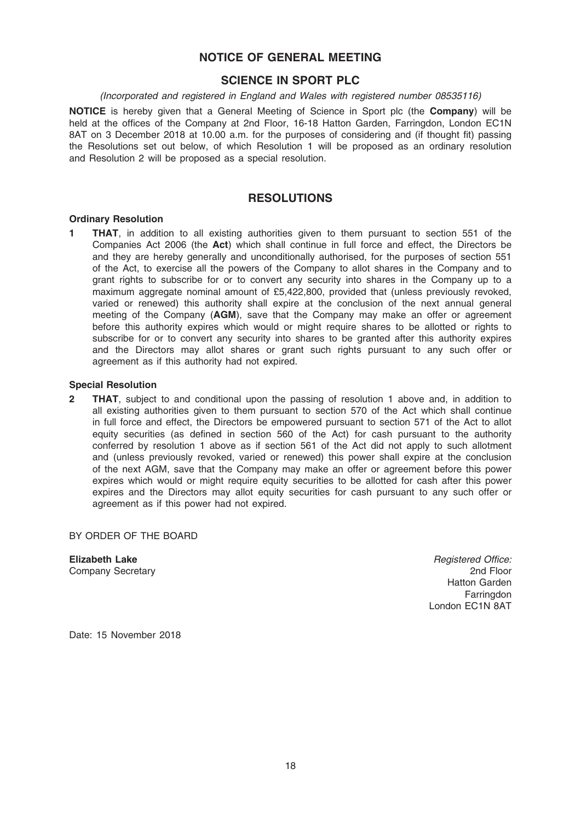## NOTICE OF GENERAL MEETING

## SCIENCE IN SPORT PLC

#### (Incorporated and registered in England and Wales with registered number 08535116)

NOTICE is hereby given that a General Meeting of Science in Sport plc (the Company) will be held at the offices of the Company at 2nd Floor, 16-18 Hatton Garden, Farringdon, London EC1N 8AT on 3 December 2018 at 10.00 a.m. for the purposes of considering and (if thought fit) passing the Resolutions set out below, of which Resolution 1 will be proposed as an ordinary resolution and Resolution 2 will be proposed as a special resolution.

## **RESOLUTIONS**

#### Ordinary Resolution

1 THAT, in addition to all existing authorities given to them pursuant to section 551 of the Companies Act 2006 (the Act) which shall continue in full force and effect, the Directors be and they are hereby generally and unconditionally authorised, for the purposes of section 551 of the Act, to exercise all the powers of the Company to allot shares in the Company and to grant rights to subscribe for or to convert any security into shares in the Company up to a maximum aggregate nominal amount of £5,422,800, provided that (unless previously revoked, varied or renewed) this authority shall expire at the conclusion of the next annual general meeting of the Company (AGM), save that the Company may make an offer or agreement before this authority expires which would or might require shares to be allotted or rights to subscribe for or to convert any security into shares to be granted after this authority expires and the Directors may allot shares or grant such rights pursuant to any such offer or agreement as if this authority had not expired.

#### Special Resolution

**2 THAT**, subject to and conditional upon the passing of resolution 1 above and, in addition to all existing authorities given to them pursuant to section 570 of the Act which shall continue in full force and effect, the Directors be empowered pursuant to section 571 of the Act to allot equity securities (as defined in section 560 of the Act) for cash pursuant to the authority conferred by resolution 1 above as if section 561 of the Act did not apply to such allotment and (unless previously revoked, varied or renewed) this power shall expire at the conclusion of the next AGM, save that the Company may make an offer or agreement before this power expires which would or might require equity securities to be allotted for cash after this power expires and the Directors may allot equity securities for cash pursuant to any such offer or agreement as if this power had not expired.

BY ORDER OF THE BOARD

Elizabeth Lake Company Secretary

Registered Office: 2nd Floor Hatton Garden **Farringdon** London EC1N 8AT

Date: 15 November 2018